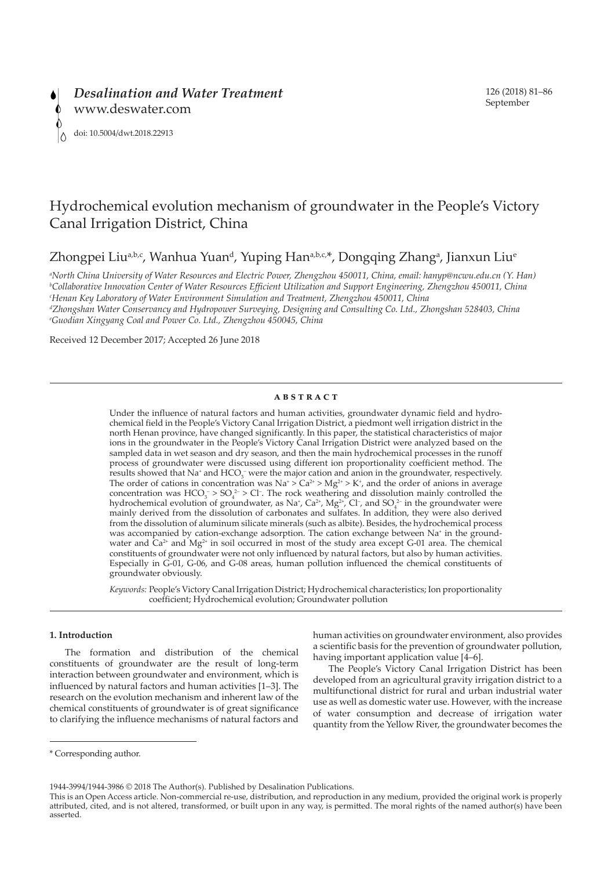

# Hydrochemical evolution mechanism of groundwater in the People's Victory Canal Irrigation District, China

Zhongpei Liu<sup>a,b,c</sup>, Wanhua Yuan<sup>d</sup>, Yuping Han<sup>a,b,c,\*</sup>, Dongqing Zhang<sup>a</sup>, Jianxun Liu<sup>e</sup>

*a North China University of Water Resources and Electric Power, Zhengzhou 450011, China, email: hanyp@ncwu.edu.cn (Y. Han) b Collaborative Innovation Center of Water Resources Efficient Utilization and Support Engineering, Zhengzhou 450011, China c Henan Key Laboratory of Water Environment Simulation and Treatment, Zhengzhou 450011, China*

*d Zhongshan Water Conservancy and Hydropower Surveying, Designing and Consulting Co. Ltd., Zhongshan 528403, China e Guodian Xingyang Coal and Power Co. Ltd., Zhengzhou 450045, China*

Received 12 December 2017; Accepted 26 June 2018

# **ABSTRACT**

Under the influence of natural factors and human activities, groundwater dynamic field and hydrochemical field in the People's Victory Canal Irrigation District, a piedmont well irrigation district in the north Henan province, have changed significantly. In this paper, the statistical characteristics of major ions in the groundwater in the People's Victory Canal Irrigation District were analyzed based on the sampled data in wet season and dry season, and then the main hydrochemical processes in the runoff process of groundwater were discussed using different ion proportionality coefficient method. The results showed that Na<sup>+</sup> and  $HCO_3^-$  were the major cation and anion in the groundwater, respectively. The order of cations in concentration was  $Na^+ > Ca^{2+} > Mg^{2+} > K^+$ , and the order of anions in average concentration was  $HCO_3^-$  >  $SO_4^2$  > Cl<sup>-</sup>. The rock weathering and dissolution mainly controlled the hydrochemical evolution of groundwater, as Na<sup>+</sup>, Ca<sup>2+</sup>, Mg<sup>2+</sup>, Cl<sup>-</sup>, and SO<sub>4</sub><sup>2-</sup> in the groundwater were mainly derived from the dissolution of carbonates and sulfates. In addition, they were also derived from the dissolution of aluminum silicate minerals (such as albite). Besides, the hydrochemical process was accompanied by cation-exchange adsorption. The cation exchange between Na<sup>+</sup> in the groundwater and  $Ca^{2+}$  and  $Mg^{2+}$  in soil occurred in most of the study area except G-01 area. The chemical constituents of groundwater were not only influenced by natural factors, but also by human activities. Especially in G-01, G-06, and G-08 areas, human pollution influenced the chemical constituents of groundwater obviously.

*Keywords:* People's Victory Canal Irrigation District; Hydrochemical characteristics; Ion proportionality coefficient; Hydrochemical evolution; Groundwater pollution

# **1. Introduction**

The formation and distribution of the chemical constituents of groundwater are the result of long-term interaction between groundwater and environment, which is influenced by natural factors and human activities [1–3]. The research on the evolution mechanism and inherent law of the chemical constituents of groundwater is of great significance to clarifying the influence mechanisms of natural factors and human activities on groundwater environment, also provides a scientific basis for the prevention of groundwater pollution, having important application value [4–6].

The People's Victory Canal Irrigation District has been developed from an agricultural gravity irrigation district to a multifunctional district for rural and urban industrial water use as well as domestic water use. However, with the increase of water consumption and decrease of irrigation water quantity from the Yellow River, the groundwater becomes the

1944-3994/1944-3986 © 2018 The Author(s). Published by Desalination Publications.

<sup>\*</sup> Corresponding author.

This is an Open Access article. Non-commercial re-use, distribution, and reproduction in any medium, provided the original work is properly attributed, cited, and is not altered, transformed, or built upon in any way, is permitted. The moral rights of the named author(s) have been asserted.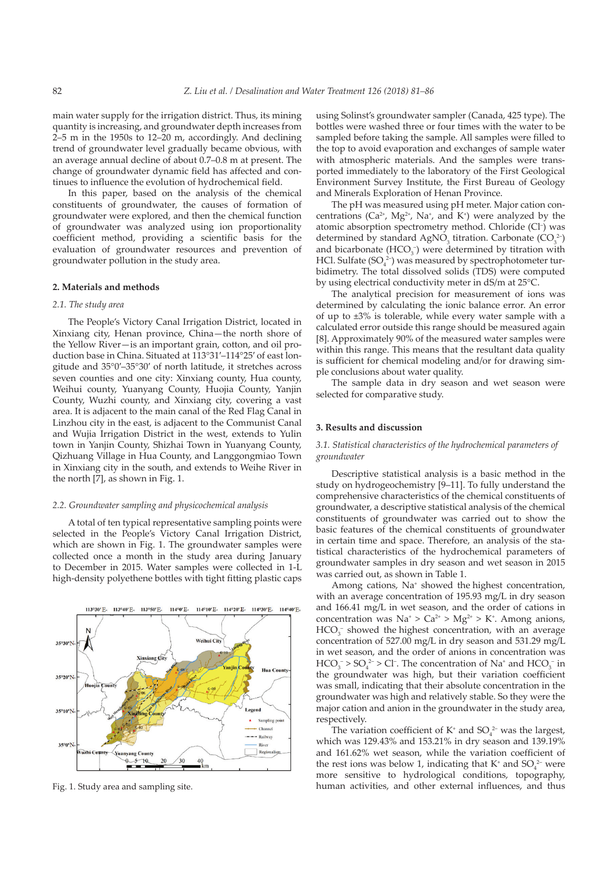main water supply for the irrigation district. Thus, its mining quantity is increasing, and groundwater depth increases from 2–5 m in the 1950s to 12–20 m, accordingly. And declining trend of groundwater level gradually became obvious, with an average annual decline of about 0.7–0.8 m at present. The change of groundwater dynamic field has affected and continues to influence the evolution of hydrochemical field.

In this paper, based on the analysis of the chemical constituents of groundwater, the causes of formation of groundwater were explored, and then the chemical function of groundwater was analyzed using ion proportionality coefficient method, providing a scientific basis for the evaluation of groundwater resources and prevention of groundwater pollution in the study area.

## **2. Materials and methods**

## *2.1. The study area*

The People's Victory Canal Irrigation District, located in Xinxiang city, Henan province, China—the north shore of the Yellow River—is an important grain, cotton, and oil production base in China. Situated at 113°31′–114°25′ of east longitude and 35°0′–35°30′ of north latitude, it stretches across seven counties and one city: Xinxiang county, Hua county, Weihui county, Yuanyang County, Huojia County, Yanjin County, Wuzhi county, and Xinxiang city, covering a vast area. It is adjacent to the main canal of the Red Flag Canal in Linzhou city in the east, is adjacent to the Communist Canal and Wujia Irrigation District in the west, extends to Yulin town in Yanjin County, Shizhai Town in Yuanyang County, Qizhuang Village in Hua County, and Langgongmiao Town in Xinxiang city in the south, and extends to Weihe River in the north [7], as shown in Fig. 1.

# *2.2. Groundwater sampling and physicochemical analysis*

A total of ten typical representative sampling points were selected in the People's Victory Canal Irrigation District, which are shown in Fig. 1. The groundwater samples were collected once a month in the study area during January to December in 2015. Water samples were collected in 1-L high-density polyethene bottles with tight fitting plastic caps



using Solinst's groundwater sampler (Canada, 425 type). The bottles were washed three or four times with the water to be sampled before taking the sample. All samples were filled to the top to avoid evaporation and exchanges of sample water with atmospheric materials. And the samples were transported immediately to the laboratory of the First Geological Environment Survey Institute, the First Bureau of Geology and Minerals Exploration of Henan Province.

The pH was measured using pH meter. Major cation concentrations ( $Ca^{2+}$ ,  $Mg^{2+}$ , Na<sup>+</sup>, and K<sup>+</sup>) were analyzed by the atomic absorption spectrometry method. Chloride (Cl<sup>-</sup>) was determined by standard AgNO<sub>3</sub> titration. Carbonate  $(CO_3^{2-})$ and bicarbonate  $(HCO<sub>3</sub><sup>-</sup>)$  were determined by titration with HCl. Sulfate  $(SO_4^2)$  was measured by spectrophotometer turbidimetry. The total dissolved solids (TDS) were computed by using electrical conductivity meter in dS/m at 25°C.

The analytical precision for measurement of ions was determined by calculating the ionic balance error. An error of up to ±3% is tolerable, while every water sample with a calculated error outside this range should be measured again [8]. Approximately 90% of the measured water samples were within this range. This means that the resultant data quality is sufficient for chemical modeling and/or for drawing simple conclusions about water quality.

The sample data in dry season and wet season were selected for comparative study.

## **3. Results and discussion**

# *3.1. Statistical characteristics of the hydrochemical parameters of groundwater*

Descriptive statistical analysis is a basic method in the study on hydrogeochemistry [9–11]. To fully understand the comprehensive characteristics of the chemical constituents of groundwater, a descriptive statistical analysis of the chemical constituents of groundwater was carried out to show the basic features of the chemical constituents of groundwater in certain time and space. Therefore, an analysis of the statistical characteristics of the hydrochemical parameters of groundwater samples in dry season and wet season in 2015 was carried out, as shown in Table 1.

Among cations, Na<sup>+</sup> showed the highest concentration, with an average concentration of 195.93 mg/L in dry season and 166.41 mg/L in wet season, and the order of cations in concentration was  $\text{Na}^{\text{*}} > \text{Ca}^{2+} > \text{Mg}^{2+} > \text{K}^{\text{*}}$ . Among anions,  $HCO<sub>3</sub><sup>-</sup>$  showed the highest concentration, with an average concentration of 527.00 mg/L in dry season and 531.29 mg/L in wet season, and the order of anions in concentration was  $HCO_3^- > SO_4^2 > Cl^-$ . The concentration of Na<sup>+</sup> and  $HCO_3^-$  in the groundwater was high, but their variation coefficient was small, indicating that their absolute concentration in the groundwater was high and relatively stable. So they were the major cation and anion in the groundwater in the study area, respectively.

The variation coefficient of  $K^+$  and  $SO_4^{2-}$  was the largest, which was 129.43% and 153.21% in dry season and 139.19% and 161.62% wet season, while the variation coefficient of the rest ions was below 1, indicating that  $K^*$  and  $SO_4^{2-}$  were more sensitive to hydrological conditions, topography, Fig. 1. Study area and sampling site. human activities, and other external influences, and thus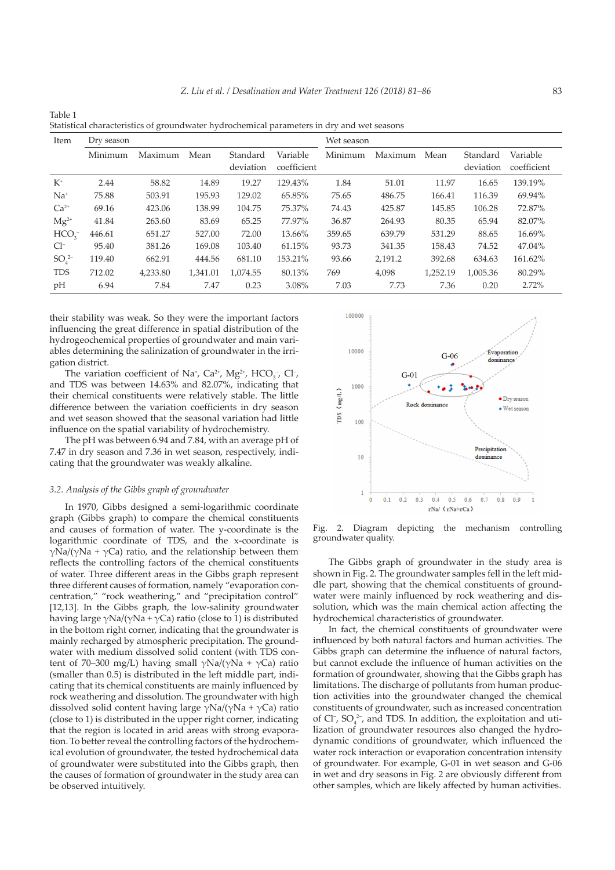| Item                       | Dry season |          |          |                       |                         | Wet season |         |          |                       |                         |
|----------------------------|------------|----------|----------|-----------------------|-------------------------|------------|---------|----------|-----------------------|-------------------------|
|                            | Minimum    | Maximum  | Mean     | Standard<br>deviation | Variable<br>coefficient | Minimum    | Maximum | Mean     | Standard<br>deviation | Variable<br>coefficient |
| $K^{\scriptscriptstyle +}$ | 2.44       | 58.82    | 14.89    | 19.27                 | 129.43%                 | 1.84       | 51.01   | 11.97    | 16.65                 | 139.19%                 |
| $Na+$                      | 75.88      | 503.91   | 195.93   | 129.02                | 65.85%                  | 75.65      | 486.75  | 166.41   | 116.39                | 69.94%                  |
| $Ca2+$                     | 69.16      | 423.06   | 138.99   | 104.75                | 75.37%                  | 74.43      | 425.87  | 145.85   | 106.28                | 72.87%                  |
| $Mg^{2+}$                  | 41.84      | 263.60   | 83.69    | 65.25                 | 77.97%                  | 36.87      | 264.93  | 80.35    | 65.94                 | 82.07%                  |
| HCO <sub>3</sub>           | 446.61     | 651.27   | 527.00   | 72.00                 | 13.66%                  | 359.65     | 639.79  | 531.29   | 88.65                 | 16.69%                  |
| $Cl^-$                     | 95.40      | 381.26   | 169.08   | 103.40                | 61.15%                  | 93.73      | 341.35  | 158.43   | 74.52                 | 47.04%                  |
| $SO_4^{2-}$                | 119.40     | 662.91   | 444.56   | 681.10                | 153.21%                 | 93.66      | 2,191.2 | 392.68   | 634.63                | 161.62%                 |
| <b>TDS</b>                 | 712.02     | 4,233.80 | 1,341.01 | 1,074.55              | 80.13%                  | 769        | 4,098   | 1,252.19 | 1,005.36              | 80.29%                  |
| pH                         | 6.94       | 7.84     | 7.47     | 0.23                  | 3.08%                   | 7.03       | 7.73    | 7.36     | 0.20                  | 2.72%                   |

Table 1 Statistical characteristics of groundwater hydrochemical parameters in dry and wet seasons

their stability was weak. So they were the important factors influencing the great difference in spatial distribution of the hydrogeochemical properties of groundwater and main variables determining the salinization of groundwater in the irrigation district.

The variation coefficient of Na<sup>+</sup>, Ca<sup>2+</sup>, Mg<sup>2+</sup>, HCO<sub>3</sub>-, Cl<sup>-</sup>, and TDS was between 14.63% and 82.07%, indicating that their chemical constituents were relatively stable. The little difference between the variation coefficients in dry season and wet season showed that the seasonal variation had little influence on the spatial variability of hydrochemistry.

The pH was between 6.94 and 7.84, with an average pH of 7.47 in dry season and 7.36 in wet season, respectively, indicating that the groundwater was weakly alkaline.

#### *3.2. Analysis of the Gibbs graph of groundwater*

In 1970, Gibbs designed a semi-logarithmic coordinate graph (Gibbs graph) to compare the chemical constituents and causes of formation of water. The y-coordinate is the logarithmic coordinate of TDS, and the x-coordinate is γNa/(γNa + γCa) ratio, and the relationship between them reflects the controlling factors of the chemical constituents of water. Three different areas in the Gibbs graph represent three different causes of formation, namely "evaporation concentration," "rock weathering," and "precipitation control" [12,13]. In the Gibbs graph, the low-salinity groundwater having large  $\gamma$ Na/( $\gamma$ Na +  $\gamma$ Ca) ratio (close to 1) is distributed in the bottom right corner, indicating that the groundwater is mainly recharged by atmospheric precipitation. The groundwater with medium dissolved solid content (with TDS content of 70–300 mg/L) having small  $\gamma$ Na/( $\gamma$ Na +  $\gamma$ Ca) ratio (smaller than 0.5) is distributed in the left middle part, indicating that its chemical constituents are mainly influenced by rock weathering and dissolution. The groundwater with high dissolved solid content having large  $\gamma$ Na/(γNa + γCa) ratio (close to 1) is distributed in the upper right corner, indicating that the region is located in arid areas with strong evaporation. To better reveal the controlling factors of the hydrochemical evolution of groundwater, the tested hydrochemical data of groundwater were substituted into the Gibbs graph, then the causes of formation of groundwater in the study area can be observed intuitively.



Fig. 2. Diagram depicting the mechanism controlling groundwater quality.

The Gibbs graph of groundwater in the study area is shown in Fig. 2. The groundwater samples fell in the left middle part, showing that the chemical constituents of groundwater were mainly influenced by rock weathering and dissolution, which was the main chemical action affecting the hydrochemical characteristics of groundwater.

In fact, the chemical constituents of groundwater were influenced by both natural factors and human activities. The Gibbs graph can determine the influence of natural factors, but cannot exclude the influence of human activities on the formation of groundwater, showing that the Gibbs graph has limitations. The discharge of pollutants from human production activities into the groundwater changed the chemical constituents of groundwater, such as increased concentration of Cl<sup>-</sup>, SO<sub>4</sub><sup>2-</sup>, and TDS. In addition, the exploitation and utilization of groundwater resources also changed the hydrodynamic conditions of groundwater, which influenced the water rock interaction or evaporation concentration intensity of groundwater. For example, G-01 in wet season and G-06 in wet and dry seasons in Fig. 2 are obviously different from other samples, which are likely affected by human activities.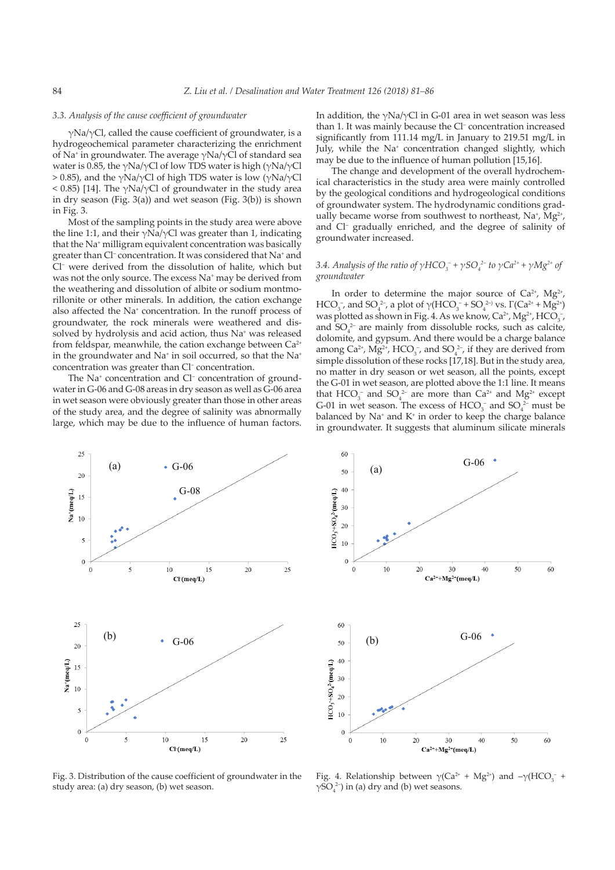#### *3.3. Analysis of the cause coefficient of groundwater*

 $\gamma$ Na/ $\gamma$ Cl, called the cause coefficient of groundwater, is a hydrogeochemical parameter characterizing the enrichment of Na<sup>+</sup> in groundwater. The average  $\gamma$ Na/ $\gamma$ Cl of standard sea water is 0.85, the γNa/γCl of low TDS water is high (γNa/γCl  $>$  0.85), and the γNa/γCl of high TDS water is low (γNa/γCl  $<$  0.85) [14]. The γNa/γCl of groundwater in the study area in dry season (Fig. 3(a)) and wet season (Fig. 3(b)) is shown in Fig. 3.

Most of the sampling points in the study area were above the line 1:1, and their  $\gamma$ Na/ $\gamma$ Cl was greater than 1, indicating that the Na+ milligram equivalent concentration was basically greater than Cl– concentration. It was considered that Na+ and Cl– were derived from the dissolution of halite, which but was not the only source. The excess Na<sup>+</sup> may be derived from the weathering and dissolution of albite or sodium montmorillonite or other minerals. In addition, the cation exchange also affected the Na<sup>+</sup> concentration. In the runoff process of groundwater, the rock minerals were weathered and dissolved by hydrolysis and acid action, thus Na<sup>+</sup> was released from feldspar, meanwhile, the cation exchange between  $Ca^{2+}$ in the groundwater and Na<sup>+</sup> in soil occurred, so that the Na<sup>+</sup> concentration was greater than Cl– concentration.

The Na<sup>+</sup> concentration and Cl<sup>-</sup> concentration of groundwater in G-06 and G-08 areas in dry season as well as G-06 area in wet season were obviously greater than those in other areas of the study area, and the degree of salinity was abnormally large, which may be due to the influence of human factors.

In addition, the  $\gamma$ Na/ $\gamma$ Cl in G-01 area in wet season was less than 1. It was mainly because the Cl– concentration increased significantly from 111.14 mg/L in January to 219.51 mg/L in July, while the Na<sup>+</sup> concentration changed slightly, which may be due to the influence of human pollution [15,16].

The change and development of the overall hydrochemical characteristics in the study area were mainly controlled by the geological conditions and hydrogeological conditions of groundwater system. The hydrodynamic conditions gradually became worse from southwest to northeast,  $Na^+$ ,  $Mg^{2+}$ , and Cl– gradually enriched, and the degree of salinity of groundwater increased.

# *3.4. Analysis of the ratio of*  $\gamma HCO_3^-$  *+*  $\gamma SO_4^{2-}$  *to*  $\gamma Ca^{2+}$  *+*  $\gamma Mg^{2+}$  *of groundwater*

In order to determine the major source of  $Ca^{2+}$ ,  $Mg^{2+}$ , HCO<sub>3</sub><sup>-</sup>, and SO<sub>4</sub><sup>2-</sup>, a plot of γ(HCO<sub>3</sub><sup>-</sup> + SO<sub>4</sub><sup>2-)</sup> vs. Γ(Ca<sup>2+</sup> + Mg<sup>2+</sup>) was plotted as shown in Fig. 4. As we know,  $Ca^{2+}$ ,  $Mg^{2+}$ , HCO<sub>3</sub><sup>-</sup>, and  $SO_4^2$  are mainly from dissoluble rocks, such as calcite, dolomite, and gypsum. And there would be a charge balance among  $Ca^{2+}$ ,  $Mg^{2+}$ , HCO<sub>3</sub><sup>-</sup>, and SO<sub>4</sub><sup>2-</sup>, if they are derived from simple dissolution of these rocks [17,18]. But in the study area, no matter in dry season or wet season, all the points, except the G-01 in wet season, are plotted above the 1:1 line. It means that  $HCO_3^-$  and  $SO_4^{2-}$  are more than  $Ca^{2+}$  and  $Mg^{2+}$  except G-01 in wet season. The excess of  $HCO_3^-$  and  $SO_4^{2-}$  must be balanced by Na<sup>+</sup> and K<sup>+</sup> in order to keep the charge balance in groundwater. It suggests that aluminum silicate minerals



Fig. 3. Distribution of the cause coefficient of groundwater in the study area: (a) dry season, (b) wet season.



Fig. 4. Relationship between  $\gamma$ (Ca<sup>2+</sup> + Mg<sup>2+</sup>) and  $-\gamma$ (HCO<sub>3</sub><sup>-</sup> +  $\gamma$ SO<sub>4</sub><sup>2</sup>) in (a) dry and (b) wet seasons.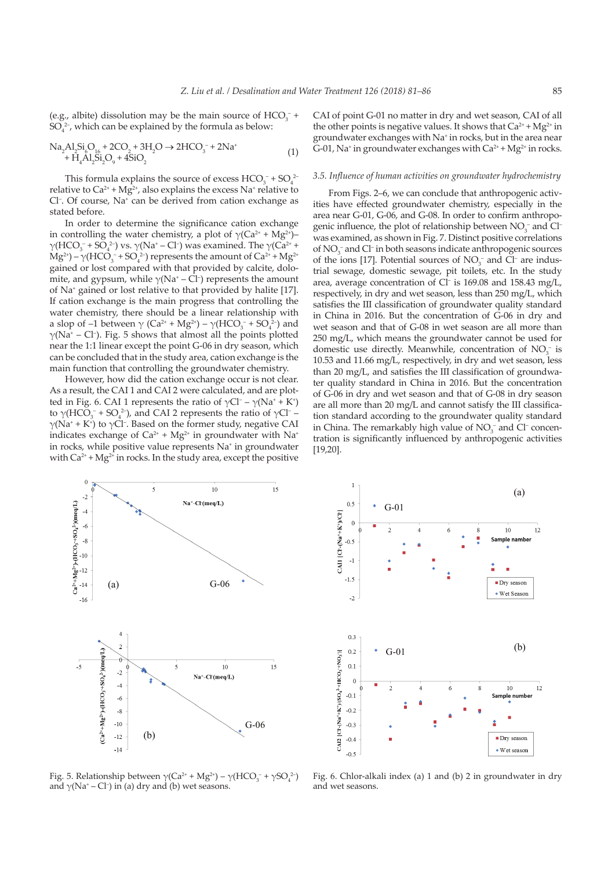(e.g., albite) dissolution may be the main source of  $HCO_3^-$  +  $SO_4^2$ <sup>-</sup>, which can be explained by the formula as below:

$$
Na2Al2Si6O16 + 2CO2 + 3H2O \to 2HCO3- + 2Na+ + H4Al2Si2O9 + 4SiO2
$$
\n(1)

This formula explains the source of excess  $HCO_3^- + SO_4^2$ relative to  $Ca^{2+} + Mg^{2+}$ , also explains the excess Na<sup>+</sup> relative to Cl<sup>-</sup>. Of course, Na<sup>+</sup> can be derived from cation exchange as stated before.

In order to determine the significance cation exchange in controlling the water chemistry, a plot of  $\gamma$ (Ca<sup>2+</sup> + Mg<sup>2+</sup>)–  $\gamma(HCO_3^- + SO_4^{2-})$  vs.  $\gamma(Na^+ - Cl^-)$  was examined. The  $\gamma(Ca^{2+} +$  $Mg^{2+}$ ) –  $\gamma$ (HCO<sub>3</sub><sup>-</sup> + SO<sub>4</sub><sup>2</sup>) represents the amount of Ca<sup>2+</sup> + Mg<sup>2+</sup> gained or lost compared with that provided by calcite, dolomite, and gypsum, while  $\gamma(Na^+ - Cl^-)$  represents the amount of Na+ gained or lost relative to that provided by halite [17]. If cation exchange is the main progress that controlling the water chemistry, there should be a linear relationship with a slop of  $-1$  between  $\gamma$  (Ca<sup>2+</sup> + Mg<sup>2+</sup>) –  $\gamma$ (HCO<sub>3</sub><sup>-</sup> + SO<sub>4</sub><sup>2-</sup>) and  $\gamma$ (Na<sup>+</sup> – Cl<sup>-</sup>). Fig. 5 shows that almost all the points plotted near the 1:1 linear except the point G-06 in dry season, which can be concluded that in the study area, cation exchange is the main function that controlling the groundwater chemistry.

However, how did the cation exchange occur is not clear. As a result, the CAI 1 and CAI 2 were calculated, and are plotted in Fig. 6. CAI 1 represents the ratio of  $\gamma$ Cl<sup>-</sup> –  $\gamma$ (Na<sup>+</sup> + K<sup>+</sup>) to  $\gamma$ (HCO<sub>3</sub><sup>-</sup> + SO<sub>4</sub><sup>2</sup>), and CAI 2 represents the ratio of  $\gamma$ Cl<sup>-</sup> –  $γ(Na^+ + K^+)$  to  $γCl^-$ . Based on the former study, negative CAI indicates exchange of  $Ca^{2+} + Mg^{2+}$  in groundwater with Na<sup>+</sup> in rocks, while positive value represents Na+ in groundwater with  $Ca^{2+} + Mg^{2+}$  in rocks. In the study area, except the positive

CAI of point G-01 no matter in dry and wet season, CAI of all the other points is negative values. It shows that  $Ca^{2+} + Mg^{2+}$  in groundwater exchanges with Na+ in rocks, but in the area near G-01, Na<sup>+</sup> in groundwater exchanges with  $Ca^{2+} + Mg^{2+}$  in rocks.

#### *3.5. Influence of human activities on groundwater hydrochemistry*

From Figs. 2–6, we can conclude that anthropogenic activities have effected groundwater chemistry, especially in the area near G-01, G-06, and G-08. In order to confirm anthropogenic influence, the plot of relationship between  $NO_3^-$  and  $Cl^$ was examined, as shown in Fig. 7. Distinct positive correlations of NO<sub>3</sub><sup>-</sup> and Cl<sup>-</sup> in both seasons indicate anthropogenic sources of the ions [17]. Potential sources of  $NO<sub>3</sub><sup>-</sup>$  and Cl<sup>-</sup> are industrial sewage, domestic sewage, pit toilets, etc. In the study area, average concentration of Cl– is 169.08 and 158.43 mg/L, respectively, in dry and wet season, less than 250 mg/L, which satisfies the III classification of groundwater quality standard in China in 2016. But the concentration of G-06 in dry and wet season and that of G-08 in wet season are all more than 250 mg/L, which means the groundwater cannot be used for domestic use directly. Meanwhile, concentration of  $NO<sub>3</sub><sup>-</sup>$  is 10.53 and 11.66 mg/L, respectively, in dry and wet season, less than 20 mg/L, and satisfies the III classification of groundwater quality standard in China in 2016. But the concentration of G-06 in dry and wet season and that of G-08 in dry season are all more than 20 mg/L and cannot satisfy the III classification standard according to the groundwater quality standard in China. The remarkably high value of  $NO<sub>3</sub><sup>-</sup>$  and Cl<sup>-</sup> concentration is significantly influenced by anthropogenic activities [19,20].



Fig. 5. Relationship between  $\gamma$ (Ca<sup>2+</sup> + Mg<sup>2+</sup>) –  $\gamma$ (HCO<sub>3</sub><sup>-</sup> +  $\gamma$ SO<sub>4</sub><sup>2-</sup>) and  $\gamma$ (Na<sup>+</sup> – Cl<sup>-</sup>) in (a) dry and (b) wet seasons.



Fig. 6. Chlor-alkali index (a) 1 and (b) 2 in groundwater in dry and wet seasons.